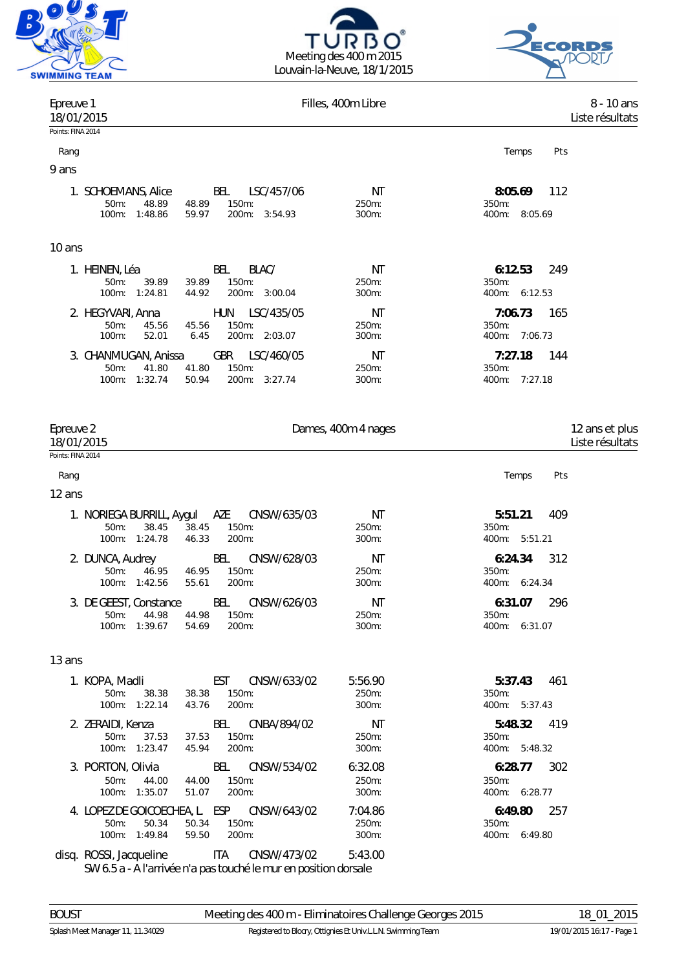





| Epreuve 1<br>18/01/2015                                                                                                        | Filles, 400m Libre        | 8 - 10 ans<br>Liste résultats                  |
|--------------------------------------------------------------------------------------------------------------------------------|---------------------------|------------------------------------------------|
| Points: FINA 2014                                                                                                              |                           |                                                |
| Rang                                                                                                                           |                           | Pts<br>Temps                                   |
| 9 ans                                                                                                                          |                           |                                                |
| 1. SCHOEMANS, Alice<br>BEL<br>LSC/457/06<br>50m:<br>48.89<br>48.89<br>150m:<br>100m: 1:48.86<br>59.97<br>200m: 3:54.93         | ΝT<br>250m:<br>300m:      | 8:05.69<br>112<br>350m:<br>400m: 8:05.69       |
| 10 ans                                                                                                                         |                           |                                                |
| BEL<br>BLAC/<br>1. HEINEN, Léa<br>150m:<br>50m:<br>39.89<br>39.89<br>200m: 3:00.04<br>100m: 1:24.81<br>44.92                   | ΝT<br>250m:<br>300m:      | 6:12.53<br>249<br>350m:<br>400m: 6:12.53       |
| LSC/435/05<br>2. HEGYVARI, Anna<br><b>HUN</b><br>150m:<br>50m:<br>45.56<br>45.56<br>200m: 2:03.07<br>$100m$ :<br>52.01<br>6.45 | ΝT<br>250m:<br>300m:      | 7:06.73<br>165<br>350m:<br>400m: 7:06.73       |
| <b>GBR</b><br>LSC/460/05<br>3. CHANMUGAN, Anissa<br>50m:<br>41.80<br>150m:<br>41.80<br>100m: 1:32.74<br>200m: 3:27.74<br>50.94 | ΝT<br>250m:<br>300m:      | 7:27.18<br>144<br>$350m$ :<br>400m:<br>7:27.18 |
| Epreuve 2<br>18/01/2015<br>Points: FINA 2014                                                                                   | Dames, 400m 4 nages       | 12 ans et plus<br>Liste résultats              |
| Rang                                                                                                                           |                           | Pts<br>Temps                                   |
| 12 ans                                                                                                                         |                           |                                                |
| AZE<br>CNSW/635/03<br>1. NORIEGA BURRILL, Aygul<br>50m:<br>38.45<br>150m:<br>38.45<br>100m: 1:24.78<br>46.33<br>200m:          | ΝT<br>250m:<br>300m:      | 5:51.21<br>409<br>$350m$ :<br>400m: 5:51.21    |
| BEL<br>CNSW/628/03<br>2. DUNCA, Audrey<br>46.95<br>150m:<br>$50m$ :<br>46.95<br>100m: 1:42.56<br>55.61<br>200m:                | ΝT<br>250m:<br>300m:      | 6:24.34<br>312<br>350m:<br>400m: 6:24.34       |
| 3. DE GEEST, Constance<br>BEL<br>CNSW/626/03<br>50m: 44.98 44.98<br>150m:<br>100m: 1:39.67<br>54.69<br>200m:                   | ΝT<br>250m:<br>300m:      | 6:31.07<br>296<br>350m:<br>400m: 6:31.07       |
| 13 ans                                                                                                                         |                           |                                                |
| EST<br>CNSW/633/02<br>1. KOPA, Madli<br>$50m$ :<br>38.38<br>38.38<br>$150m$ :<br>100m: 1:22.14<br>200m:<br>43.76               | 5:56.90<br>250m:<br>300m: | 5:37.43<br>461<br>$350m$ :<br>400m: 5:37.43    |
| 2. ZERAIDI, Kenza<br>BEL<br>CNBA/894/02<br>50m:<br>150m:<br>37.53<br>37.53<br>200m:<br>100m: 1:23.47<br>45.94                  | NT<br>250m:<br>300m:      | 5:48.32<br>419<br>350m:<br>400m: 5:48.32       |
| 3. PORTON, Olivia<br>CNSW/534/02<br>BEL<br>50m:<br>44.00<br>44.00<br>150m:<br>100m: 1:35.07<br>51.07<br>200m:                  | 6:32.08<br>250m:<br>300m: | 6:28.77<br>302<br>350m:<br>400m: 6:28.77       |
| 4. LOPEZ DE GOICOECHEA, L. ESP<br>CNSW/643/02<br>50.34<br>50.34<br>150m:<br>50m:<br>100m: 1:49.84<br>59.50<br>200m:            | 7:04.86<br>250m:<br>300m: | 6:49.80<br>257<br>350m:<br>400m: 6:49.80       |
| disq. ROSSI, Jacqueline<br>ITA<br>CNSW/473/02<br>SW 6.5 a - A l'arrivée n'a pas touché le mur en position dorsale              | 5:43.00                   |                                                |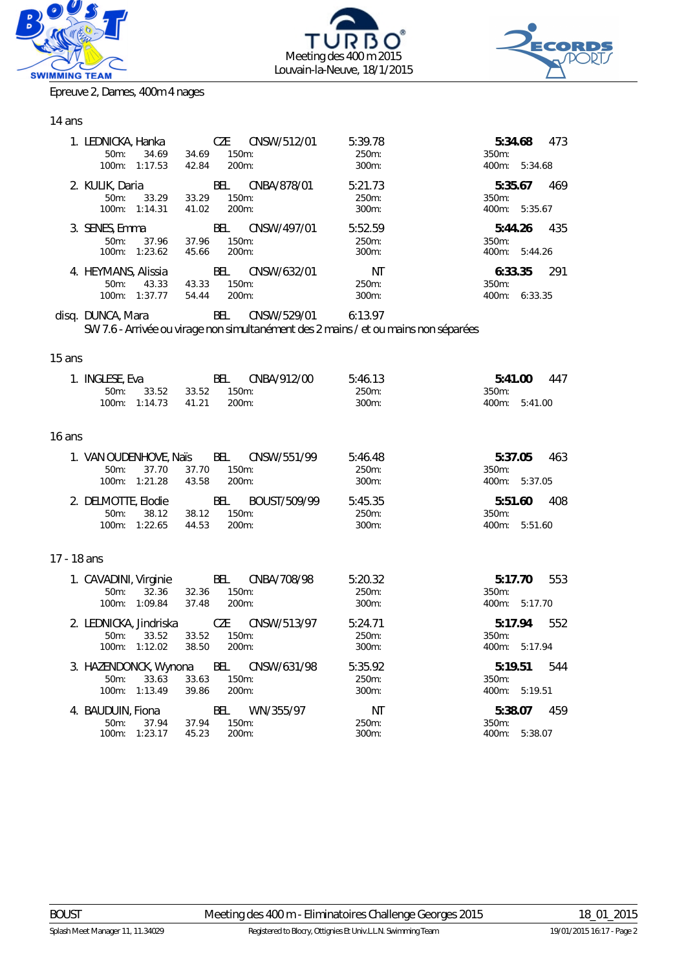





Epreuve 2, Dames, 400m 4 nages

# 14 ans

| 1. LEDNICKA, Hanka<br>$50m$ :<br>34.69<br>1:17.53<br>$100m$ :  | CZE<br>CNSW/512/01<br>150m:<br>34.69<br>$200m$ :<br>42.84 | 5:39.78<br>$250m$ :<br>$300m$ : | 473<br>5:34.68<br>350m:<br>$400m$ :<br>5:34.68    |
|----------------------------------------------------------------|-----------------------------------------------------------|---------------------------------|---------------------------------------------------|
| 2. KULIK, Daria<br>$50m$ :<br>33.29<br>$100m$ :<br>1:14.31     | BEL<br>CNBA/878/01<br>33.29<br>150m:<br>41.02<br>$200m$ : | 5:21.73<br>250m:<br>$300m$ :    | 469<br>5:35.67<br>$350m$ :<br>$400m$ :<br>5:35.67 |
| 3. SENES, Emma<br>37.96<br>$50m$ :<br>$100m$ :<br>1:23.62      | BEL<br>CNSW/497/01<br>150m:<br>37.96<br>$200m$ :<br>45.66 | 5:52.59<br>250m:<br>$300m$ :    | 435<br>5:44.26<br>$350m$ :<br>$400m$ :<br>5:44.26 |
| 4. HEYMANS, Alissia<br>$50m$ :<br>43.33<br>$100m$ :<br>1:37.77 | BEL<br>CNSW/632/01<br>150m:<br>43.33<br>200m:<br>54.44    | ΝT<br>250m:<br>$300m$ :         | 291<br>6:33.35<br>$350m$ :<br>$400m$ :<br>6:33.35 |

disq. DUNCA, Mara BEL CNSW/529/01 6:13.97 *SW 7.6 - Arrivée ou virage non simultanément des 2 mains / et ou mains non séparées*

#### 15 ans

|             | 1. INGLESE, Eva<br>$50m$ :<br>100m: 1:14.73     | 33.52 33.52 150m:      | 41.21          | BEL<br>200m:      | CNBA/912/00                            | 5:46.13<br>250m:<br>300m: | 5:41.00<br>350m:<br>400m:         | 5:41.00 | 447 |
|-------------|-------------------------------------------------|------------------------|----------------|-------------------|----------------------------------------|---------------------------|-----------------------------------|---------|-----|
| 16 ans      |                                                 |                        |                |                   |                                        |                           |                                   |         |     |
|             | $50m$ :<br>100m: 1:21.28                        | 37.70                  | 37.70<br>43.58 | 150m:<br>200m:    | 1. VAN OUDENHOVE, Naïs BEL CNSW/551/99 | 5:46.48<br>250m:<br>300m: | 5:37.05<br>350m:<br>400m: 5:37.05 |         | 463 |
|             | 2. DELMOTTE, Elodie<br>$50m$ :<br>100m: 1:22.65 | 38.12                  | 38.12<br>44.53 | $150m$ :<br>200m: | BEL BOUST/509/99                       | 5:45.35<br>250m:<br>300m: | 5:51.60<br>350m:<br>400m: 5:51.60 |         | 408 |
| 17 - 18 ans |                                                 |                        |                |                   |                                        |                           |                                   |         |     |
|             | $50m$ :                                         | 32.36<br>100m: 1:09.84 | 32.36<br>37.48 | 150m:<br>200m:    | 1. CAVADINI, Virginie BEL CNBA/708/98  | 5:20.32<br>250m:<br>300m: | 350m:<br>400m: 5:17.70            | 5:17.70 | 553 |
|             | $50m$ :<br>100m: 1:12.02                        | 33.52                  | 33.52<br>38.50 | 150m:<br>200m:    | 2. LEDNICKA, Jindriska CZE CNSW/513/97 | 5:24.71<br>250m:<br>300m: | 5:17.94<br>350m:<br>400m: 5:17.94 |         | 552 |
|             | $50m$ :<br>100m: 1:13.49                        | 33.63                  | 33.63<br>39.86 | 150m:<br>200m:    | 3. HAZENDONCK, Wynona BEL CNSW/631/98  | 5:35.92<br>250m:<br>300m: | 5:19.51<br>350m:<br>400m: 5:19.51 |         | 544 |
|             | 4. BAUDUIN, Fiona<br>$50m$ :<br>100m: 1:23.17   | 37.94                  | 37.94<br>45.23 | 150m:<br>200m:    | BEL WN/355/97                          | NT<br>250m:<br>300m:      | 5:38.07<br>350m:<br>400m: 5:38.07 |         | 459 |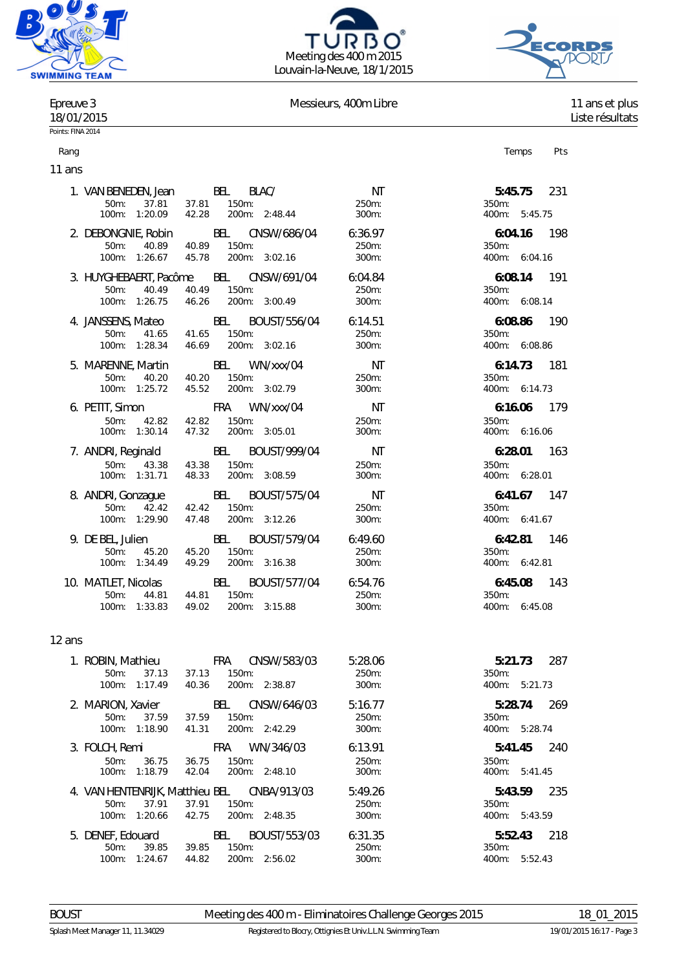





#### Epreuve 3 and 11 ans et plus Messieurs, 400m Libre 11 ans et plus 11 ans et plus

18/01/2015 Liste résultats

# Points: FINA 2014

Rang Personal Rang Personal Rang Personal Rang Personal Rang Personal Rang Personal Rang Personal Rang Personal

11 ans 1. VAN BENEDEN, Jean BEL BLAC/ NT **5:45.75** 231 50m: 37.81 37.81 150m: 250m: 350m: 100m: 1:20.09 42.28 200m: 2:48.44 300m: 400m: 5:45.75 2. DEBONGNIE, Robin BEL CNSW/686/04 6:36.97 **6:04.16** 198 50m: 40.89 100m: 1:26.67 45.78 200m: 3:02.16 300m: 400m: 6:04.16 3. HUYGHEBAERT, Pacôme BEL CNSW/691/04 6:04.84 **6:08.14** 191 50m: 40.49 40.49 150m: 250m: 350m: 100m: 1:26.75 46.26 200m: 3:00.49 300m: 400m: 6:08.14 4. JANSSENS, Mateo BEL BOUST/556/04 6:14.51 **6:08.86** 190 50m: 41.65 100m: 1:28.34 46.69 200m: 3:02.16 300m: 400m: 6:08.86 5. MARENNE, Martin BEL WN/xxx/04 NT **6:14.73** 181 50m: 40.20 40.20 150m: 250m: 350m: 100m: 1:25.72 45.52 200m: 3:02.79 300m: 400m: 6:14.73 6. PETIT, Simon FRA WN/xxx/04 NT **6:16.06** 179 50m: 42.82 42.82 150m: 250m: 350m: 100m: 1:30.14 47.32 200m: 3:05.01 300m: 400m: 6:16.06 7. ANDRI, Reginald BEL BOUST/999/04 NT **6:28.01** 163 50m: 43.38 43.38 150m: 250m: 350m: 100m: 1:31.71 48.33 200m: 3:08.59 300m: 400m: 6:28.01 8. ANDRI, Gonzague BEL BOUST/575/04 NT **6:41.67** 147 50m: 42.42 42.42 150m: 250m: 350m: 100m: 1:29.90 47.48 200m: 3:12.26 300m: 400m: 6:41.67 9. DE BEL, Julien BEL BOUST/579/04 6:49.60 **6:42.81** 146 50m: 45.20 45.20 150m: 250m: 350m: 100m: 1:34.49 49.29 200m: 3:16.38 300m: 400m: 6:42.81 10. MATLET, Nicolas BEL BOUST/577/04 6:54.76 **6:45.08** 143 50m: 44.81 44.81 150m: 250m: 350m: 100m: 1:33.83 49.02 200m: 3:15.88 300m: 400m: 6:45.08 12 ans 1. ROBIN, Mathieu FRA CNSW/583/03 5:28.06 **5:21.73** 287

| <b>1. INVERTIVALITE LA INVERTITE LA IN</b> TERNATIONAL | $\overline{\mathbf{1}}$                                                                                     | J.ZU.UU                                                                                                                                                               | <u>J. Z. I. J. J</u><br>20 I<br>350m:                                                                                                                                                                   |
|--------------------------------------------------------|-------------------------------------------------------------------------------------------------------------|-----------------------------------------------------------------------------------------------------------------------------------------------------------------------|---------------------------------------------------------------------------------------------------------------------------------------------------------------------------------------------------------|
|                                                        |                                                                                                             |                                                                                                                                                                       |                                                                                                                                                                                                         |
|                                                        |                                                                                                             |                                                                                                                                                                       | 400m:<br>5:21.73                                                                                                                                                                                        |
|                                                        | BEL                                                                                                         | 5:16.77                                                                                                                                                               | 269<br>5:28.74                                                                                                                                                                                          |
| $50m$ :                                                | $150m$ :<br>37.59                                                                                           | 250m:                                                                                                                                                                 | 350m:                                                                                                                                                                                                   |
|                                                        | 41.31                                                                                                       | $300m$ :                                                                                                                                                              | $400m$ :<br>5:28.74                                                                                                                                                                                     |
|                                                        | <b>FRA</b>                                                                                                  | 6:13.91                                                                                                                                                               | 240<br>5:41.45                                                                                                                                                                                          |
|                                                        |                                                                                                             |                                                                                                                                                                       | 350m:                                                                                                                                                                                                   |
| 100m:                                                  | 42.04<br>200m:                                                                                              | 300m:                                                                                                                                                                 | 400m:<br>5:41.45                                                                                                                                                                                        |
|                                                        |                                                                                                             |                                                                                                                                                                       |                                                                                                                                                                                                         |
|                                                        |                                                                                                             |                                                                                                                                                                       | 235<br>5:43.59                                                                                                                                                                                          |
| $50m$ :                                                | 37.91<br>150m:                                                                                              | 250m:                                                                                                                                                                 | $350m$ :                                                                                                                                                                                                |
| $100m$ :                                               | 42.75                                                                                                       | 300m:                                                                                                                                                                 | 400m:<br>5:43.59                                                                                                                                                                                        |
|                                                        | BEL                                                                                                         | 6:31.35                                                                                                                                                               | 218<br>5:52.43                                                                                                                                                                                          |
| $50m$ :                                                | 39.85<br>150m:                                                                                              | 250m:                                                                                                                                                                 | 350m:                                                                                                                                                                                                   |
| 100m:                                                  | 44.82                                                                                                       | 300m:                                                                                                                                                                 | $400m$ :<br>5:52.43                                                                                                                                                                                     |
|                                                        | $50m$ :<br>100m:<br>2. MARION, Xavier<br>3. FOLCH, Remi<br>$50m$ :<br>37.91<br>5. DENEF, Edouard<br>1:24.67 | $150m$ :<br>37.13<br>37.13<br>1:17.49<br>40.36<br>37.59<br>100m: 1:18.90<br>36.75<br>36.75<br>150m:<br>1:18.79<br>4. VAN HENTENRIJK, Matthieu BEL<br>1:20.66<br>39.85 | <u>UNUVY JUJI UJ</u><br>250m:<br>200m: 2:38.87<br>$300m$ :<br>CNSW/646/03<br>200m: 2:42.29<br>WN/346/03<br>250m:<br>2:48.10<br>CNBA/913/03<br>5:49.26<br>200m: 2:48.35<br>BOUST/553/03<br>200m: 2:56.02 |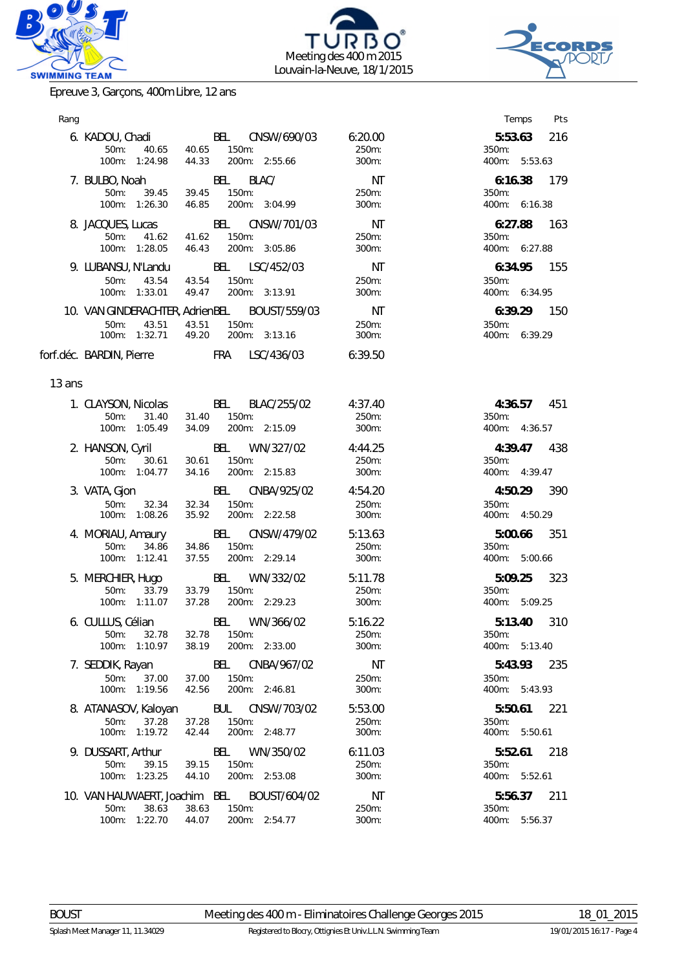





Epreuve 3, Garçons, 400m Libre, 12 ans

| Rang   |                                                                 |                                                                                                                         |                             | Temps<br><b>Pts</b>                         |
|--------|-----------------------------------------------------------------|-------------------------------------------------------------------------------------------------------------------------|-----------------------------|---------------------------------------------|
|        |                                                                 | 6. KADOU, Chadi BEL CNSW/690/03 6:20.00<br>50m: 40.65 40.65 150m:<br>100m: 1:24.98  44.33  200m: 2:55.66                | 300m:                       | 5:53.63 216<br>350m:<br>400m: 5:53.63       |
|        | 7. BULBO, Noah BEL BLAC/<br>$50m$ :                             | 39.45 39.45 150m:<br>100m: 1:26.30  46.85  200m: 3:04.99                                                                | NT<br>250m:<br>300m:        | 6:16.38 179<br>350m:<br>400m: 6:16.38       |
|        |                                                                 | 8. JACQUES, Lucas BEL CNSW/701/03<br>50m: 41.62 41.62 150m:<br>100m: 1:28.05  46.43  200m: 3:05.86                      | NT<br>250m:<br>$300m$ :     | 6:27.88 163<br>350m:<br>400m: 6:27.88       |
|        | 9. LUBANSU, N'Landu<br>50m: 43.54 43.54 150m:                   | BEL LSC/452/03<br>100m: 1:33.01  49.47  200m: 3:13.91                                                                   | NT<br>250m:<br>300m:        | 6:34.95 155<br>350m:<br>400m: 6:34.95       |
|        | 50m: 43.51 43.51                                                | 10. VAN GINDERACHTER, AdrienBEL BOUST/559/03<br>150m:<br>100m: 1:32.71  49.20  200m: 3:13.16                            | <b>NT</b><br>250m:<br>300m: | 6:39.29 150<br>350m:<br>400m: 6:39.29       |
|        |                                                                 | forf.déc. BARDIN, Pierre FRA LSC/436/03 6:39.50                                                                         |                             |                                             |
| 13 ans |                                                                 |                                                                                                                         |                             |                                             |
|        | 50m: 31.40 31.40 150m:                                          | 1. CLAYSON, Nicolas BEL BLAC/255/02<br>100m: 1:05.49 34.09 200m: 2:15.09                                                | 4:37.40<br>250m:<br>300m:   | 4:36.57 451<br>350m:<br>400m: 4:36.57       |
|        |                                                                 | 2. HANSON, Cyril BEL WN/327/02 4:44.25<br>50m: 30.61 30.61 150m: 250m: 250m:<br>100m: 1:04.77 34.16 200m: 2:15.83 300m: |                             | 4:39.47 438<br>350m:<br>400m: 4:39.47       |
|        | 50m: 32.34 32.34 150m:                                          | 3. VATA, Gjon BEL CNBA/925/02 4:54.20<br>100m: 1:08.26 35.92 200m: 2:22.58                                              | $250m$ :<br>300m:           | 4:50.29 390<br>350m:<br>400m: 4:50.29       |
|        | 50m: 34.86 34.86 150m:                                          | 4. MORIAU, Amaury BEL CNSW/479/02<br>100m: 1:12.41 37.55 200m: 2:29.14                                                  | 5:13.63<br>250m:<br>300m:   | 5:00.66 351<br>350m:<br>400m: 5:00.66       |
|        |                                                                 | 5. MERCHIER, Hugo BEL WN/332/02 5:11.78<br>5.5.11.78 50m: 33.79 33.79 150m:<br>100m: 1:11.07 37.28 200m: 2:29.23        | $300m$ :                    | 5:09.25 323<br>350m:<br>400m: 5:09.25       |
|        | 50m: 32.78<br>100m: 1:10.97                                     | 6. CULLUS, Célian BEL WN/366/02<br>32.78 150m:<br>200m: 2:33.00<br>38.19                                                | 5:16.22<br>250m:<br>300m:   | 5:13.40<br>310<br>350m:<br>400m: 5:13.40    |
|        | 7. SEDDIK, Rayan<br>$50m$ :<br>37.00<br>100m: 1:19.56           | BEL<br>CNBA/967/02<br>37.00<br>150m:<br>42.56<br>200m: 2:46.81                                                          | NT<br>250m:<br>300m:        | 5:43.93<br>235<br>350m:<br>400m: 5:43.93    |
|        | 8. ATANASOV, Kaloyan<br>37.28<br>50m:<br>100m: 1:19.72          | BUL CNSW/703/02<br>37.28<br>150m:<br>200m: 2:48.77<br>42.44                                                             | 5:53.00<br>250m:<br>300m:   | 221<br>5:50.61<br>350m:<br>400m: 5:50.61    |
|        | 9. DUSSART, Arthur<br>50m:<br>39.15<br>100m: 1:23.25            | BEL<br>WN/350/02<br>150m:<br>39.15<br>200m: 2:53.08<br>44.10                                                            | 6:11.03<br>250m:<br>300m:   | 5:52.61<br>218<br>350m:<br>400m: 5:52.61    |
|        | 10. VAN HAUWAERT, Joachim BEL<br>50m:<br>38.63<br>100m: 1:22.70 | BOUST/604/02<br>38.63<br>150m:<br>44.07<br>200m: 2:54.77                                                                | NT<br>250m:<br>300m:        | 5:56.37<br>211<br>350m:<br>400m:<br>5:56.37 |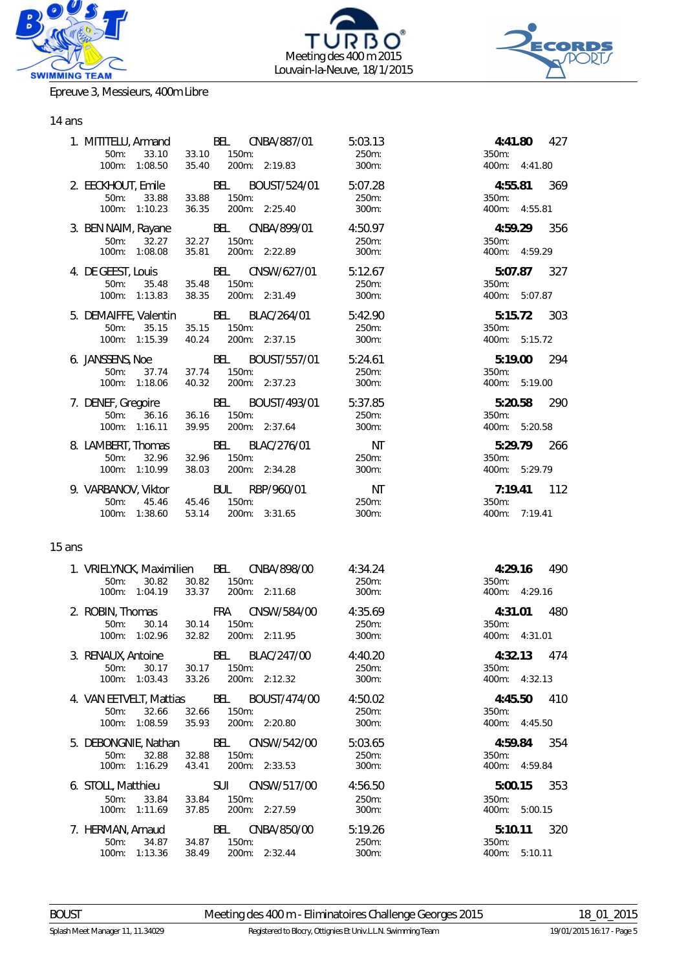





#### Epreuve 3, Messieurs, 400m Libre

### 14 ans

|        | 50m: 33.10<br>100m: 1:08.50                                             | 33.10 150m:<br>200m: 2:19.83<br>35.40            | 1. MITITELU, Armand BEL CNBA/887/01 5:03.13<br>250m:<br>300m:                          | 350m:                     | 4:41.80 427<br>400m: 4:41.80 |
|--------|-------------------------------------------------------------------------|--------------------------------------------------|----------------------------------------------------------------------------------------|---------------------------|------------------------------|
|        | 50m:<br>33.88<br>100m: 1:10.23                                          | 150m:<br>33.88<br>36.35 200m: 2:25.40            | 2. EECKHOUT, Emile BEL BOUST/524/01 5:07.28<br>250m:<br>300m:                          | 350m:                     | 4:55.81 369<br>400m: 4:55.81 |
|        | 32.27<br>50m:<br>100m: 1:08.08                                          | 32.27 150m:<br>35.81 200m: 2:22.89               | 3. BEN NAIM, Rayane BEL CNBA/899/01 4:50.97<br>250m:<br>300m:                          | 350m:                     | 4:59.29 356<br>400m: 4:59.29 |
|        | 100m: 1:13.83                                                           | 38.35 200m: 2:31.49                              | 4. DE GEEST, Louis BEL CNSW/627/01 5:12.67<br>50m: 35.48 35.48 150m:<br>300m:          | 350m:                     | 5:07.87 327<br>400m: 5:07.87 |
|        | 5. DEMAIFFE, Valentin BEL BLAC/264/01<br>100m: 1:15.39                  | 50m: 35.15 35.15 150m:<br>40.24 200m: 2:37.15    | 5:42.90<br>250m:<br>300m:                                                              | 350m:                     | 5:15.72 303<br>400m: 5:15.72 |
|        | 50m:<br>100m: 1:18.06                                                   | 37.74 37.74 150m:<br>40.32 200m: 2:37.23         | 6. JANSSENS, Noe BEL BOUST/557/01 5:24.61<br>250m:<br>300m:                            | 350m:                     | 5:19.00 294<br>400m: 5:19.00 |
|        | 100m: 1:16.11                                                           | 39.95<br>200m: 2:37.64                           | 7. DENEF, Gregoire BEL BOUST/493/01 5:37.85<br>5.37.85 50m: 36.16 36.16 150m:<br>300m: | 350m:                     | 5:20.58 290<br>400m: 5:20.58 |
|        | 8. LAMBERT, Thomas BEL BLAC/276/01<br>$50m$ :<br>32.96<br>100m: 1:10.99 | 32.96 150m:<br>38.03 200m: 2:34.28               | NT<br>250m:<br>300m:                                                                   | 350m:                     | 5:29.79 266<br>400m: 5:29.79 |
|        | 9. VARBANOV, Viktor BUL RBP/960/01<br>50m:<br>100m: 1:38.60             | 45.46  45.46  150m:<br>53.14 200m: 3:31.65       | NT<br>250m:<br>300m:                                                                   | 350m:                     | 7:19.41 112<br>400m: 7:19.41 |
| 15 ans |                                                                         |                                                  |                                                                                        |                           |                              |
|        | 1. VRIELYNCK, Maximilien BEL CNBA/898/00<br>100m: 1:04.19               | 50m: 30.82 30.82 150m:<br>33.37                  | 4:34.24<br>250m:<br>200m: 2:11.68<br>300m:                                             | 350m:                     | 4:29.16 490<br>400m: 4:29.16 |
|        | 2. ROBIN, Thomas FRA CNSW/584/00<br>30.14<br>$50m$ :                    | 30.14 150m:<br>100m: 1:02.96 32.82 200m: 2:11.95 | 4:35.69<br>250m:<br>300m:                                                              | 4:31.01<br>350m:          | 480<br>400m: 4:31.01         |
|        | 3. RENAUX, Antoine<br>$50m$ :<br>30.17<br>100m: 1:03.43                 | BEL<br>150m:<br>30.17<br>200m: 2:12.32<br>33.26  | BLAC/247/00<br>4:40.20<br>250m:<br>300m:                                               | 4:32.13<br>350m:          | 474<br>400m: 4:32.13         |
|        | 4. VAN EETVELT, Mattias BEL<br>50m:<br>32.66<br>100m: 1:08.59           | 32.66<br>150m:<br>35.93<br>200m: 2:20.80         | BOUST/474/00<br>4:50.02<br>250m:<br>300m:                                              | 4:45.50<br>350m:          | 410<br>400m: 4:45.50         |
|        | 5. DEBONGNIE, Nathan<br>50m:<br>32.88<br>100m: 1:16.29                  | BEL<br>32.88<br>150m:<br>200m: 2:33.53<br>43.41  | CNSW/542/00<br>5:03.65<br>250m:<br>300m:                                               | 4:59.84<br>350m:<br>400m: | 354<br>4:59.84               |

6. STOLL, Matthieu SUI CNSW/517/00 4:56.50 **5:00.15** 353 100m: 1:11.69 37.85 200m: 2:27.59 300m: 400m: 5:00.15 7. HERMAN, Arnaud BEL CNBA/850/00 5:19.26 **5:10.11** 320 100m: 1:13.36 38.49 200m: 2:32.44 300m: 400m: 5:10.11

50m: 33.84 33.84 150m: 227.59 250m:<br>100m: 1:11.69 37.85 200m: 2:27.59 300m:

50m: 34.87<br>100m: 1:13.36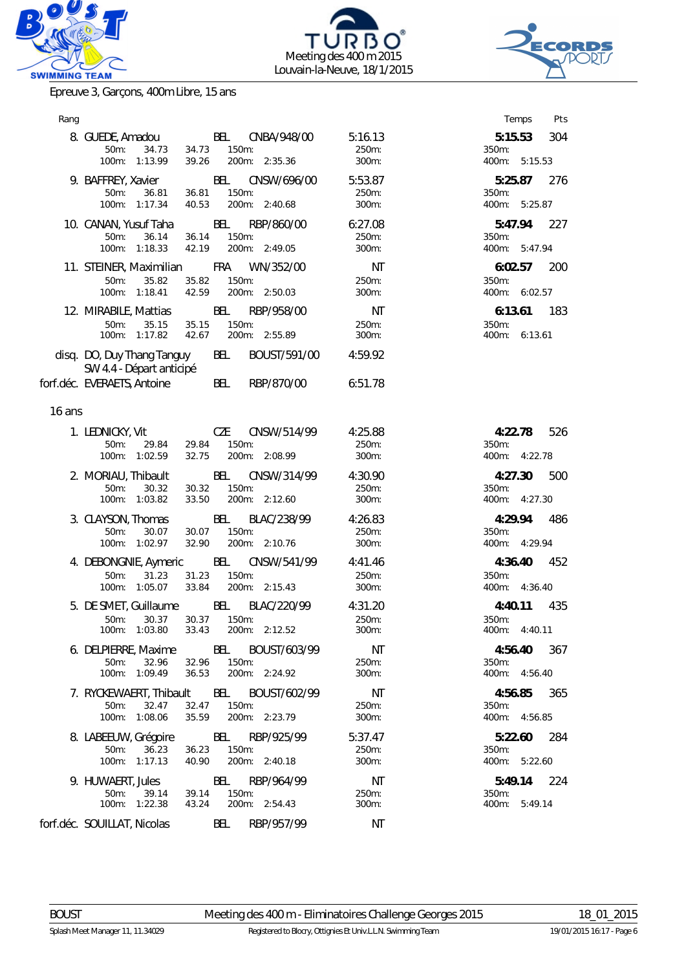





Epreuve 3, Garçons, 400m Libre, 15 ans

| Rang   |                                                                                                           |                                                     |                              | Temps<br>Pts                             |
|--------|-----------------------------------------------------------------------------------------------------------|-----------------------------------------------------|------------------------------|------------------------------------------|
|        | 8. GUEDE, Amadou<br>34.73<br>$50m$ :<br>34.73<br>100m: 1:13.99<br>39.26                                   | BEL CNBA/948/00<br>$150m$ :<br>200m: 2:35.36        | 5:16.13<br>250m:<br>300m:    | 5:15.53<br>304<br>350m:<br>400m: 5:15.53 |
|        | 9. BAFFREY, Xavier<br>$50m$ :<br>36.81<br>36.81<br>40.53<br>100m: 1:17.34                                 | <b>BEL</b><br>CNSW/696/00<br>150m:<br>200m: 2:40.68 | 5:53.87<br>250m:<br>300m:    | 5:25.87<br>276<br>350m:<br>400m: 5:25.87 |
|        | 10. CANAN, Yusuf Taha<br>36.14<br>$50m$ :<br>100m: 1:18.33<br>42.19                                       | BEL<br>RBP/860/00<br>36.14 150m:<br>200m: 2:49.05   | 6:27.08<br>250m:<br>300m:    | 5:47.94<br>227<br>350m:<br>400m: 5:47.94 |
|        | 11. STEINER, Maximilian FRA WN/352/00<br>35.82<br>$50m$ :<br>35.82<br>100m: 1:18.41  42.59  200m: 2:50.03 | 150m:                                               | NT<br>250m:<br>300m:         | 6:02.57<br>200<br>350m:<br>400m: 6:02.57 |
|        | 12. MIRABILE, Mattias<br>35.15<br>35.15<br>50m:<br>100m: 1:17.82  42.67  200m: 2:55.89                    | <b>BEL</b><br>RBP/958/00<br>150m:                   | NT<br>250m:<br>300m:         | $6:13.61$ 183<br>350m:<br>400m: 6:13.61  |
|        | disq. DO, Duy Thang Tanguy<br>SW 4.4 - Départ anticipé                                                    | BEL<br>BOUST/591/00                                 | 4:59.92                      |                                          |
|        | forf.déc. EVERAETS, Antoine                                                                               | BEL<br>RBP/870/00                                   | 6:51.78                      |                                          |
| 16 ans |                                                                                                           |                                                     |                              |                                          |
|        | 1. LEDNICKY, Vit<br>29.84<br>$50m$ :<br>32.75<br>100m: 1:02.59                                            | CZE<br>CNSW/514/99<br>29.84 150m:<br>200m: 2:08.99  | 4:25.88<br>250m:<br>300m:    | 4:22.78<br>526<br>350m:<br>400m: 4:22.78 |
|        | 2. MORIAU, Thibault<br>30.32<br>30.32<br>$50m$ :<br>100m: 1:03.82                                         | BEL<br>CNSW/314/99<br>150m:<br>33.50 200m: 2:12.60  | 4:30.90<br>250m:<br>300m:    | 4:27.30<br>500<br>350m:<br>400m: 4:27.30 |
|        | 3. CLAYSON, Thomas<br>$50m$ :<br>30.07<br>30.07<br>32.90<br>100m: 1:02.97                                 | BEL<br>BLAC/238/99<br>150m:<br>200m: 2:10.76        | 4:26.83<br>250m:<br>300m:    | 486<br>4:29.94<br>350m:<br>400m: 4:29.94 |
|        | 4. DEBONGNIE, Aymeric BEL CNSW/541/99<br>31.23<br>50m:<br>31.23<br>100m: 1:05.07<br>33.84                 | 150m:<br>200m: 2:15.43                              | 4:41.46<br>250m:<br>300m:    | 4:36.40<br>452<br>350m:<br>400m: 4:36.40 |
|        | 5. DE SMET, Guillaume<br>30.37<br>$50m$ :<br>30.37<br>100m: 1:03.80 33.43 200m: 2:12.52                   | BEL BLAC/220/99<br>150m:                            | 4:31.20<br>250m:<br>$300m$ : | 435<br>4:40.11<br>350m:<br>400m: 4:40.11 |
|        | 6. DELPIERRE, Maxime BEL BOUST/603/99<br>32.96<br>$50m$ :<br>100m: 1:09.49<br>36.53                       | 32.96 150m:<br>200m: 2:24.92                        | NT<br>250m:<br>300m:         | 4:56.40<br>367<br>350m:<br>400m: 4:56.40 |
|        | 7. RYCKEWAERT, Thibault BEL BOUST/602/99<br>$50m$ :<br>32.47<br>32.47<br>35.59<br>100m: 1:08.06           | 150m:<br>200m: 2:23.79                              | NT<br>250m:<br>300m:         | 365<br>4:56.85<br>350m:<br>400m: 4:56.85 |
|        | 8. LABEEUW, Grégoire<br>36.23<br>$50m$ :<br>36.23<br>100m: 1:17.13<br>40.90                               | BEL RBP/925/99<br>150m:<br>200m: 2:40.18            | 5:37.47<br>250m:<br>300m:    | 5:22.60<br>284<br>350m:<br>400m: 5:22.60 |
|        | 9. HUWAERT, Jules<br>$50m$ :<br>39.14<br>39.14<br>100m: 1:22.38<br>43.24                                  | BEL<br>RBP/964/99<br>150m:<br>200m: 2:54.43         | NT<br>250m:<br>$300m$ :      | 5:49.14<br>224<br>350m:<br>400m: 5:49.14 |
|        | forf.déc. SOUILLAT, Nicolas                                                                               | BEL<br>RBP/957/99                                   | NT                           |                                          |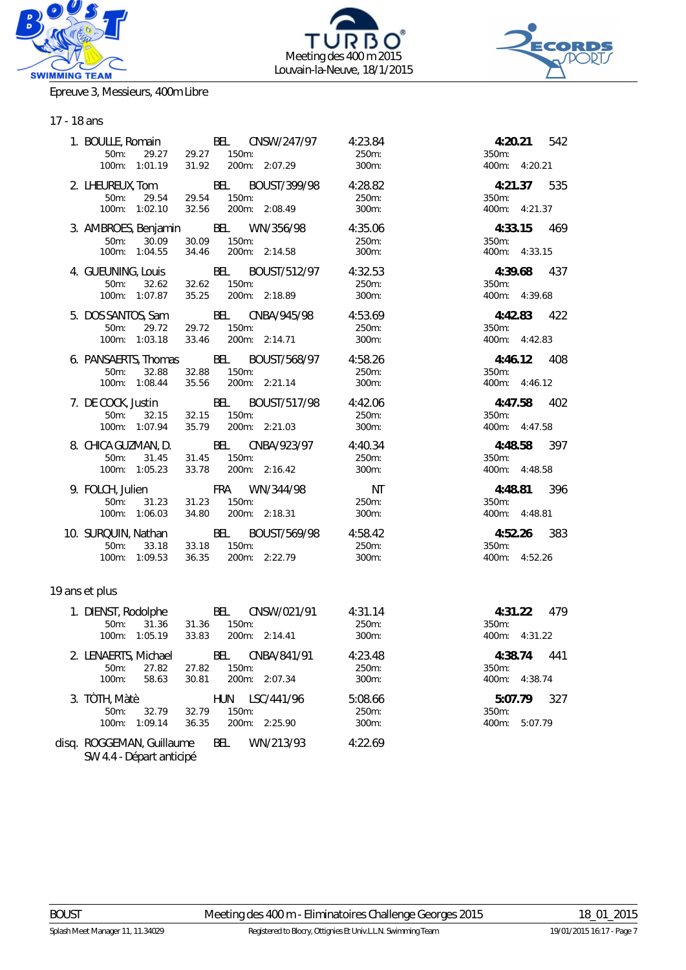





#### Epreuve 3, Messieurs, 400m Libre

# 17 - 18 ans

| 50m: 29.27<br>100m: 1:01.19                                | 1. BOULLE, Romain BEL CNSW/247/97 4:23.84<br>29.27 150m:<br>31.92 200m: 2:07.29<br>200m: 2:07.29             | 250m:<br>300m:            | 4:20.21 542<br>350m:<br>400m: 4:20.21       |
|------------------------------------------------------------|--------------------------------------------------------------------------------------------------------------|---------------------------|---------------------------------------------|
| 50m:<br>29.54<br>100m: 1:02.10                             | 2. LHEUREUX, Tom BEL BOUST/399/98 4:28.82<br>150m:<br>29.54<br>32.56<br>200m: 2:08.49                        | 250m:<br>300m:            | 4:21.37 535<br>350m:<br>400m: 4:21.37       |
| 30.09<br>50m:<br>100m: 1:04.55                             | 3. AMBROES, Benjamin BEL WN/356/98<br>30.09 150m:<br>34.46<br>200m: 2:14.58                                  | 4:35.06<br>250m:<br>300m: | 4:33.15 469<br>350m:<br>400m: 4:33.15       |
| 50m: 32.62<br>100m: 1:07.87                                | 4. GUEUNING, Louis BEL BOUST/512/97 4:32.53<br>32.62 150m:<br>35.25 200m: 2:18.89                            | 250m:<br>300m:            | 4:39.68 437<br>350m:<br>400m: 4:39.68       |
| 50m:<br>29.72<br>100m: 1:03.18                             | 5. DOS SANTOS, Sam BEL CNBA/945/98 4:53.69<br>29.72<br>$150m$ :<br>33.46<br>200m: 2:14.71                    | 250m:<br>300m:            | 4:42.83 422<br>350m:<br>400m: 4:42.83       |
| $50m$ :<br>32.88<br>100m: 1:08.44                          | 6. PANSAERTS, Thomas BEL BOUST/568/97 4:58.26<br>32.88<br>150m:<br>200m: 2:21.14<br>35.56                    | 250m:<br>300m:            | 4:46.12 408<br>350m:<br>400m: 4:46.12       |
| 50m: 32.15<br>100m: 1:07.94                                | 7. DE COCK, Justin BEL BOUST/517/98 4:42.06<br>32.15<br>150m:<br>35.79<br>200m: 2:21.03                      | 250m:<br>300m:            | 4:47.58 402<br>350m:<br>400m: 4:47.58       |
| 50m:<br>31.45<br>100m: 1:05.23                             | 8. CHICA GUZMAN, D. BEL CNBA/923/97 4:40.34<br>31.45<br>150m:<br>33.78 200m: 2:16.42                         | 250m:<br>300m:            | 4:48.58 397<br>350m:<br>400m: 4:48.58       |
| 9. FOLCH, Julien<br>$50m$ :<br>31.23                       | <b>FRA</b> WN/344/98<br>31.23<br>150m:<br>100m: 1:06.03 34.80 200m: 2:18.31                                  | NT<br>250m:<br>300m:      | 396<br>4:48.81<br>350m:<br>400m: 4:48.81    |
| 100m: 1:09.53                                              | 10. SURQUIN, Nathan BEL BOUST/569/98 4:58.42<br>50m: 33.18 33.18 150m: 350m: 250m:<br>36.35<br>200m: 2:22.79 | 300m:                     | 4:52.26 383<br>350m:<br>400m: 4:52.26       |
| 19 ans et plus                                             |                                                                                                              |                           |                                             |
| 31.36<br>50m:<br>100m: 1:05.19                             | 1. DIENST, Rodolphe BEL CNSW/021/91<br>31.36 150m:<br>200m: 2:14.41<br>33.83                                 | 4:31.14<br>250m:<br>300m: | 4:31.22 479<br>350m:<br>400m: 4:31.22       |
| 2. LENAERTS, Michael<br>$50m$ :<br>27.82<br>100m:<br>58.63 | CNBA/841/91<br>BEL<br>150m:<br>27.82<br>200m: 2:07.34<br>30.81                                               | 4:23.48<br>250m:<br>300m: | 4:38.74<br>441<br>350m:<br>400m: 4:38.74    |
| 3. TÒTH, Màtè<br>50m:<br>32.79<br>100m: 1:09.14            | LSC/441/96<br>HUN<br>32.79<br>150m:<br>36.35<br>200m: 2:25.90                                                | 5:08.66<br>250m:<br>300m: | 5:07.79<br>327<br>350m:<br>400m:<br>5:07.79 |
| disq. ROGGEMAN, Guillaume                                  | BEL<br>WN/213/93                                                                                             | 4:22.69                   |                                             |

*SW 4.4 - Départ anticipé*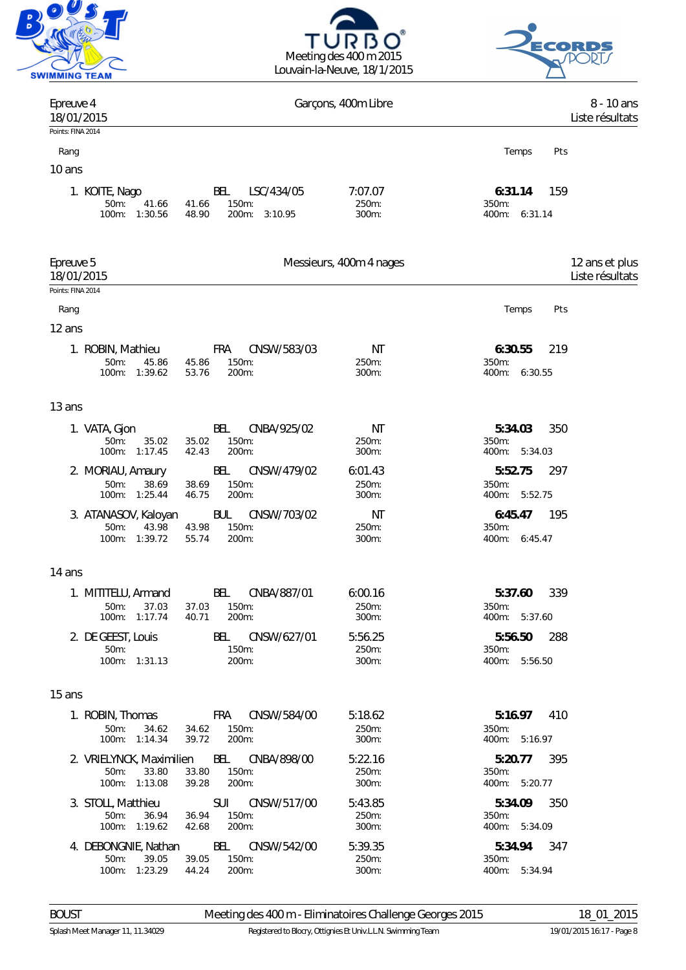





| Epreuve 4<br>18/01/2015                                |                                                                              | Garçons, 400m Libre       | 8 - 10 ans<br>Liste résultats               |
|--------------------------------------------------------|------------------------------------------------------------------------------|---------------------------|---------------------------------------------|
| Points: FINA 2014                                      |                                                                              |                           |                                             |
| Rang                                                   |                                                                              |                           | Temps<br>Pts                                |
| 10 ans                                                 |                                                                              |                           |                                             |
| 1. KOITE, Nago<br>50m:<br>41.66<br>100m: 1:30.56       | BEL<br>LSC/434/05<br>150m:<br>41.66<br>48.90<br>200m: 3:10.95                | 7:07.07<br>250m:<br>300m: | 6:31.14<br>159<br>350m:<br>400m: 6:31.14    |
| Epreuve 5<br>18/01/2015                                |                                                                              | Messieurs, 400m 4 nages   | 12 ans et plus<br>Liste résultats           |
| Points: FINA 2014                                      |                                                                              |                           |                                             |
| Rang                                                   |                                                                              |                           | Temps<br>Pts                                |
| 12 ans                                                 |                                                                              |                           |                                             |
| 1. ROBIN, Mathieu<br>50m:<br>45.86<br>100m: 1:39.62    | CNSW/583/03<br>FRA<br>150m:<br>45.86<br>200m:<br>53.76                       | ΝT<br>250m:<br>300m:      | 219<br>6:30.55<br>350m:<br>400m: 6:30.55    |
| 13 ans                                                 |                                                                              |                           |                                             |
| 1. VATA, Gjon<br>50m:<br>35.02<br>100m: 1:17.45        | BEL<br>CNBA/925/02<br>150m:<br>35.02<br>42.43<br>200m:                       | ΝT<br>250m:<br>300m:      | 5:34.03<br>350<br>350m:<br>400m: 5:34.03    |
| 2. MORIAU, Amaury<br>50m:<br>38.69<br>100m: 1:25.44    | BEL<br>CNSW/479/02<br>150m:<br>38.69<br>200m:<br>46.75                       | 6:01.43<br>250m:<br>300m: | 5:52.75<br>297<br>350m:<br>400m: 5:52.75    |
| 3. ATANASOV, Kaloyan<br>50m:<br>43.98<br>100m: 1:39.72 | CNSW/703/02<br><b>BUL</b><br>43.98<br>150m:<br>200m:<br>55.74                | NT<br>250m:<br>300m:      | 195<br>6:45.47<br>350m:<br>400m: 6:45.47    |
| 14 ans                                                 |                                                                              |                           |                                             |
| 1. MITITELU, Armand<br>50m: 37.03<br>100m: 1:17.74     | BEL<br>CNBA/887/01<br>37.03 150m:<br>40.71<br>200m:                          | 6:00.16<br>250m:<br>300m: | 5:37.60<br>339<br>350m:<br>400m: 5:37.60    |
| 2. DE GEEST, Louis<br>$50m$ :<br>100m: 1:31.13         | BEL CNSW/627/01<br>150m:<br>200m:                                            | 5:56.25<br>250m:<br>300m: | 5:56.50<br>288<br>$350m$ :<br>400m: 5:56.50 |
| 15 ans                                                 |                                                                              |                           |                                             |
| 34.62<br>$50m$ :<br>100m: 1:14.34                      | 1. ROBIN, Thomas FRA CNSW/584/00<br>34.62<br>$150m$ :<br>200m:<br>39.72      | 5:18.62<br>250m:<br>300m: | 5:16.97<br>410<br>$350m$ :<br>400m: 5:16.97 |
| 50m:<br>33.80<br>100m: 1:13.08                         | 2. VRIELYNCK, Maximilien BEL CNBA/898/00<br>33.80<br>150m:<br>39.28<br>200m: | 5:22.16<br>250m:<br>300m: | 5:20.77<br>-395<br>350m:<br>400m: 5:20.77   |
| 3. STOLL, Matthieu<br>50m:<br>36.94<br>100m: 1:19.62   | 36.94<br>150m:<br>42.68<br>200m:                                             | 5:43.85<br>250m:<br>300m: | 5:34.09<br>350<br>350m:<br>400m: 5:34.09    |
| 4. DEBONGNIE, Nathan<br>50m: 39.05<br>100m: 1:23.29    | BEL CNSW/542/00<br>39.05<br>$150m$ :<br>44.24<br>200m:                       | 5:39.35<br>250m:<br>300m: | 5:34.94 347<br>350m:<br>400m: 5:34.94       |

BOUST Meeting des 400 m - Eliminatoires Challenge Georges 2015 18\_01\_2015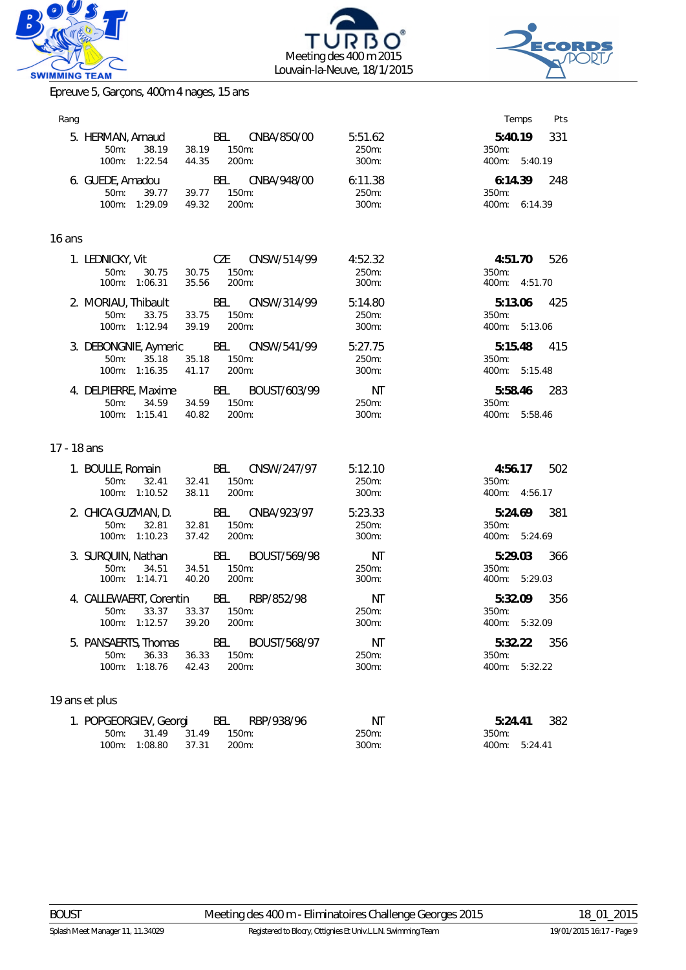





Epreuve 5, Garçons, 400m 4 nages, 15 ans

| Rang        |                                                                             |                       |                                   |                             | Temps<br>Pts                                |
|-------------|-----------------------------------------------------------------------------|-----------------------|-----------------------------------|-----------------------------|---------------------------------------------|
|             | 5. HERMAN, Arnaud<br>50m:<br>38.19<br>100m: 1:22.54                         | 38.19 150m:<br>44.35  | BEL CNBA/850/00<br>200m:          | 5:51.62<br>250m:<br>300m:   | 331<br>5:40.19<br>350m:<br>400m: 5:40.19    |
|             | 6. GUEDE, Amadou BEL CNBA/948/00<br>50m:<br>39.77<br>100m: 1:29.09          | 39.77 150m:<br>49.32  | 200m:                             | 6:11.38<br>250m:<br>300m:   | 248<br>6:14.39<br>350m:<br>400m: 6:14.39    |
| 16 ans      |                                                                             |                       |                                   |                             |                                             |
|             | 1. LEDNICKY, Vit<br>50m:<br>30.75<br>100m: 1:06.31                          | 30.75<br>35.56        | CZE CNSW/514/99<br>150m:<br>200m: | 4:52.32<br>250m:<br>300m:   | 526<br>4:51.70<br>350m:<br>400m: 4:51.70    |
|             | 2. MORIAU, Thibault<br>50m:<br>33.75<br>100m: 1:12.94                       | 33.75<br>39.19        | BEL CNSW/314/99<br>150m:<br>200m: | 5:14.80<br>250m:<br>300m:   | 5:13.06<br>425<br>350m:<br>400m: 5:13.06    |
|             | 3. DEBONGNIE, Aymeric BEL CNSW/541/99<br>50m:<br>35.18<br>100m: 1:16.35     | 35.18<br>41.17        | 150m:<br>200m:                    | 5:27.75<br>250m:<br>300m:   | 5:15.48<br>415<br>350m:<br>400m: 5:15.48    |
|             | 4. DELPIERRE, Maxime BEL BOUST/603/99<br>34.59<br>50m:<br>100m: 1:15.41     | 34.59 150m:<br>40.82  | 200m:                             | NT<br>250m:<br>300m:        | 5:58.46 283<br>350m:<br>400m: 5:58.46       |
| 17 - 18 ans |                                                                             |                       |                                   |                             |                                             |
|             | 1. BOULLE, Romain BEL CNSW/247/97<br>50m:<br>32.41<br>100m: 1:10.52         | 32.41<br>38.11        | 150m:<br>200m:                    | 5:12.10<br>250m:<br>300m:   | 4:56.17<br>502<br>350m:<br>400m: 4:56.17    |
|             | 2. CHICA GUZMAN, D.<br>32.81<br>$50m$ :<br>100m: 1:10.23                    | 32.81<br>37.42        | BEL CNBA/923/97<br>150m:<br>200m: | 5:23.33<br>250m:<br>300m:   | 5:24.69<br>381<br>350m:<br>400m: 5:24.69    |
|             | 3. SURQUIN, Nathan BEL BOUST/569/98<br>$50m$ :<br>34.51<br>100m: 1:14.71    | 34.51<br>40.20        | 150m:<br>200m:                    | NT<br>250m:<br>300m:        | 5:29.03<br>366<br>350m:<br>400m: 5:29.03    |
|             | 4. CALLEWAERT, Corentin BEL RBP/852/98<br>$50m$ :<br>33.37<br>100m: 1:12.57 | 33.37<br>39.20        | 150m:<br>200m:                    | <b>NT</b><br>250m:<br>300m: | 5:32.09<br>356<br>350m:<br>400m: 5:32.09    |
|             | 5. PANSAERTS, Thomas<br>50m:<br>36.33<br>1:18.76<br>100m:                   | BEL<br>36.33<br>42.43 | BOUST/568/97<br>150m:<br>200m:    | NT<br>250m:<br>300m:        | 5:32.22<br>356<br>350m:<br>400m:<br>5:32.22 |
|             | 19 ans et plus                                                              |                       |                                   |                             |                                             |
|             | 1. POPGEORGIEV, Georgi<br>31.49<br>50m:<br>1:08.80<br>100m:                 | BEL<br>31.49<br>37.31 | RBP/938/96<br>150m:<br>200m:      | NT<br>250m:<br>300m:        | 5:24.41<br>382<br>350m:<br>400m: 5:24.41    |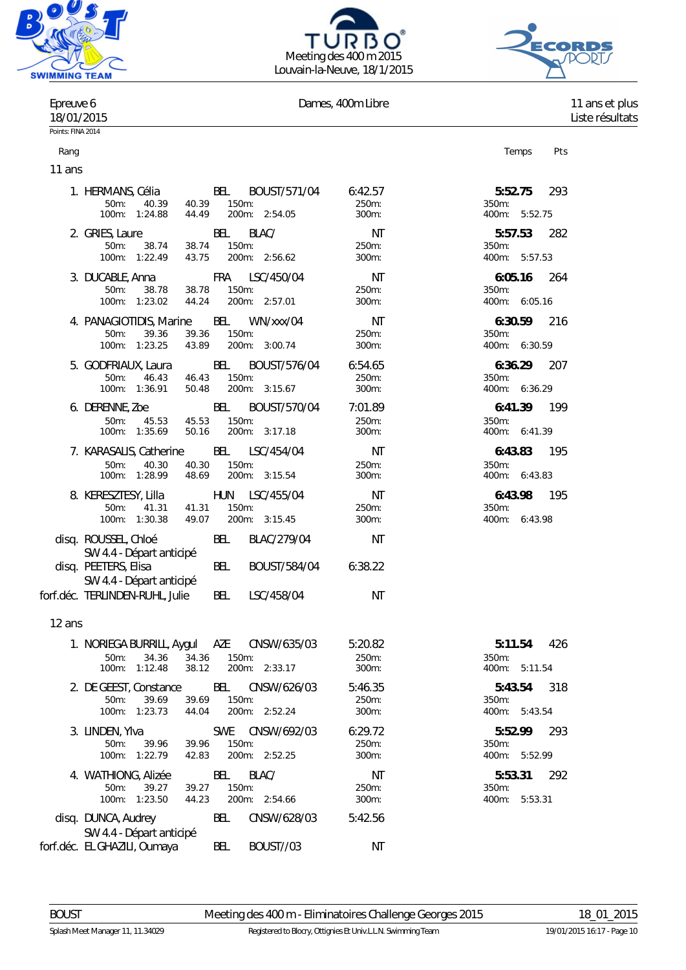





# Epreuve 6 **Dames, 400m Libre** 11 ans et plus

Rang Personal Rang Personal Rang Personal Rang Personal Rang Personal Rang Personal Rang Personal Rang Personal

18/01/2015 Liste résultats

Points: FINA 2014

11 ans

|        | 1. HERMANS, Célia BEL BOUST/571/04<br>50m: 40.39 40.39 150m:<br>100m: 1:24.88 44.49 200m:                 | 200m: 2:54.05                                       | 6:42.57<br>250m:<br>$300m$ :             | 5:52.75<br>293<br>350m:<br>400m: 5:52.75    |
|--------|-----------------------------------------------------------------------------------------------------------|-----------------------------------------------------|------------------------------------------|---------------------------------------------|
|        | 2. GRIES, Laure<br>50m:<br>38.74 38.74 150m:<br>100m: 1:22.49  43.75  200m: 2:56.62                       | BEL<br>BLAC/                                        | NT<br>250m:<br>300m:                     | 282<br>5:57.53<br>350m:<br>400m: 5:57.53    |
|        | 3. DUCABLE, Anna FRA LSC/450/04<br>50m: 38.78 38.78 150m:<br>100m: 1:23.02  44.24  200m: 2:57.01          |                                                     | $\mathsf{N}\mathsf{T}$<br>250m:<br>300m: | 6:05.16<br>264<br>350m:<br>400m: 6:05.16    |
|        | 4. PANAGIOTIDIS, Marine BEL WN/xxx/04<br>50m: 39.36 39.36 150m:<br>100m: 1:23.25 43.89 200m: 3:00.74      |                                                     | NT<br>250m:<br>$300m$ :                  | 6:30.59<br>216<br>350m:<br>400m: 6:30.59    |
|        | 5. GODFRIAUX, Laura BEL BOUST/576/04<br>50m: 46.43 46.43 150m:<br>100m: 1:36.91 50.48 200m: 3:15.67       |                                                     | 6:54.65<br>250m:<br>300m:                | 6:36.29<br>207<br>350m:<br>400m: 6:36.29    |
|        | 6. DERENNE, Zoe BEL BOUST/570/04 7:01.89<br>50m: 45.53 45.53<br>100m: 1:35.69   50.16   200m: 3:17.18     | 150m:                                               | 250m:<br>$300m$ :                        | 6:41.39 199<br>350m:<br>400m: 6:41.39       |
|        | 7. KARASALIS, Catherine BEL LSC/454/04<br>100m: 1:28.99 48.69 150m:<br>100m: 1:28.99 48.69 200m:          | 200m: 3:15.54                                       | <b>NT</b><br>250m:<br>300m:              | 6:43.83 195<br>350m:<br>400m: 6:43.83       |
|        | 8. KERESZTESY, Lilla HUN LSC/455/04<br>41.31  41.31  150m:<br>50m:<br>100m: 1:30.38  49.07  200m: 3:15.45 |                                                     | NT<br>250m:<br>300m:                     | 195<br>6:43.98<br>350m:<br>400m: 6:43.98    |
|        | disq. ROUSSEL, Chloé                                                                                      | BEL<br>BLAC/279/04                                  | NT                                       |                                             |
|        | SW 4.4 - Départ anticipé<br>disq. PEETERS, Elisa<br>SW 4.4 - Départ anticipé                              | <b>BEL</b><br>BOUST/584/04                          | 6:38.22                                  |                                             |
|        | forf.déc. TERLINDEN-RUHL, Julie                                                                           | BEL LSC/458/04                                      | ΝT                                       |                                             |
| 12 ans |                                                                                                           |                                                     |                                          |                                             |
|        | 1. NORIEGA BURRILL, Aygul AZE CNSW/635/03<br>34.36<br>$50m$ :<br>38.12<br>100m: 1:12.48                   | 34.36 150m:<br>200m: 2:33.17                        | 5:20.82<br>250m:<br>300m:                | 426<br>5:11.54<br>350m:<br>400m: 5:11.54    |
|        | 2. DE GEEST, Constance BEL CNSW/626/03<br>39.69<br>50m: 39.69<br>100m: 1:23.73<br>44.04                   | 150m:<br>200m: 2:52.24                              | 5:46.35<br>250m:<br>300m:                | 318<br>5:43.54<br>350m:<br>400m: 5:43.54    |
|        | 3. LINDEN, Ylva<br>$50m$ :<br>39.96<br>39.96<br>100m: 1:22.79<br>42.83                                    | <b>SWE</b><br>CNSW/692/03<br>150m:<br>200m: 2:52.25 | 6:29.72<br>250m:<br>300m:                | 5:52.99<br>293<br>350m:<br>400m: 5:52.99    |
|        | 4. WATHIONG, Alizée<br>39.27<br>$50m$ :<br>39.27<br>44.23<br>100m: 1:23.50                                | BEL<br>BLAC/<br>150m:<br>200m: 2:54.66              | ΝT<br>250m:<br>300m:                     | 5:53.31<br>292<br>350m:<br>5:53.31<br>400m: |
|        | disq. DUNCA, Audrey<br>SW 4.4 - Départ anticipé                                                           | BEL<br>CNSW/628/03                                  | 5:42.56                                  |                                             |
|        | forf.déc. EL GHAZILI, Oumaya                                                                              | BOUST//03<br>BEL                                    | ΝT                                       |                                             |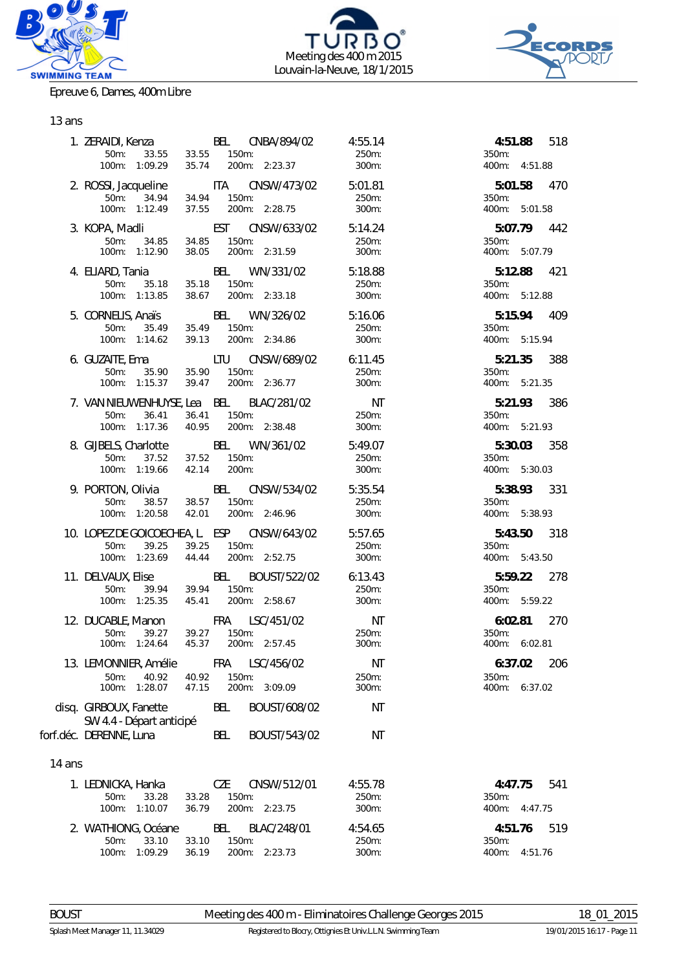





Epreuve 6, Dames, 400m Libre

# 13 ans

|        |                                                                               | 1. ZERAIDI, Kenza                 BEL     CNBA/894/02           4:55.14<br>- 1.2.1, 1.0.1.2.2<br>50m: 33.55 33.55 150m: 2:23.37 300m:<br>100m: 1:09.29 35.74 200m: 2:23.37 300m: |                                          | 350m:                     | 4:51.88 518<br>400m: 4:51.88 |
|--------|-------------------------------------------------------------------------------|----------------------------------------------------------------------------------------------------------------------------------------------------------------------------------|------------------------------------------|---------------------------|------------------------------|
|        |                                                                               | 2. ROSSI, Jacqueline ITA CNSW/473/02 5:01.81<br>50m: 34.94 34.94 150m:<br>100m: 1:12.49 37.55 200m: 2:28.75 300m:                                                                | 250m:                                    | 350m:                     | 5:01.58 470<br>400m: 5:01.58 |
|        |                                                                               | 3. KOPA, Madli EST CNSW/633/02 5:14.24<br>50m: 34.85 34.85 150m:<br>$100$ m: 1:12.90 $34.60$ 100m: 2:31.59                                                                       | 250m:<br>300m:                           | 350m:<br>400m: 5:07.79    | 5:07.79 442                  |
|        |                                                                               |                                                                                                                                                                                  |                                          | $350m$ :                  | 5:12.88 421<br>400m: 5:12.88 |
|        |                                                                               | 5. CORNELIS, Anaïs BEL WN/326/02<br>100m: 35.49 35.49 150m:<br>100m: 1:14.62 39.13 200m: 2:34.86 300m:                                                                           | 5:16.06                                  | 350m:                     | 5:15.94 409<br>400m: 5:15.94 |
|        |                                                                               | 6. GUZAITE, Ema<br>50m: 35.90 35.90 150m: 250m: 250m:<br>100m: 1:15.37 39.47 200m: 2:36.77                                                                                       | 300m:                                    | 350m:                     | 5:21.35 388<br>400m: 5:21.35 |
|        |                                                                               | 7. VAN NIEUWENHUYSE, Lea BEL BLAC/281/02 MT<br>50m: 36.41 36.41 150m: 250m: 250m:<br>100m: 1:17.36 40.95 200m: 2:38.48 300m:                                                     |                                          | 350m:                     | 5:21.93 386<br>400m: 5:21.93 |
|        | 100m: 1:19.66 42.14 200m:                                                     | 8. GIJBELS, Charlotte BEL WN/361/02 5:49.07<br>50m: 37.52 37.52 150m: 250m: 250m:                                                                                                | 250m:<br>300m:                           | 350m:                     | 5:30.03 358<br>400m: 5:30.03 |
|        |                                                                               | 9. PORTON, Olivia BEL CNSW/534/02 5:35.54<br>50m: 38.57 38.57 150m: 250m: 250m:<br>100m: 1:20.58 42.01 200m: 2:46.96 300m:                                                       |                                          | 350m:<br>400m: 5:38.93    | 5:38.93 331                  |
|        |                                                                               | 10. LOPEZ DE GOICOECHEA, L. ESP CNSW/643/02 5:57.65<br>50m: 39.25 39.25 150m:<br>100m: 1:23.69 44.44 200m: 2:52.75                                                               | 250m:<br>300m:                           | 350m:<br>400m: 5:43.50    | 5:43.50 318                  |
|        | 50m: 39.94 39.94 150m:                                                        | 11. DELVAUX, Elise BEL BOUST/522/02 6:13.43<br>100m: 1:25.35  45.41  200m: 2:58.67                                                                                               | 250m:<br>300m:                           | 350m:                     | 5:59.22 278<br>400m: 5:59.22 |
|        | 50m: 39.27<br>100m: 1:24.64                                                   | 12. DUCABLE, Manon FRA LSC/451/02<br>39.27 150m:<br>45.37 200m: 2:57.45                                                                                                          | $\overline{\text{NT}}$<br>250m:<br>300m: | 350m:<br>400m: 6:02.81    | 6:02.81 270                  |
|        | 13. LEMONNIER, Amélie<br>$50m$ :<br>40.92<br>100m: 1:28.07                    | Fra<br>LSC/456/02<br>40.92<br>150m:<br>47.15<br>200m:<br>3:09.09                                                                                                                 | NT<br>250m:<br>300m:                     | 6:37.02<br>350m:<br>400m: | 206<br>6:37.02               |
|        | disg. GIRBOUX, Fanette<br>SW 4.4 - Départ anticipé<br>forf.déc. DERENNE, Luna | BEL<br>BOUST/608/02<br>BEL<br>BOUST/543/02                                                                                                                                       | ΝT<br>ΝT                                 |                           |                              |
| 14 ans |                                                                               |                                                                                                                                                                                  |                                          |                           |                              |
|        | 1. LEDNICKA, Hanka<br>50m:<br>33.28<br>$100m$ :<br>1:10.07                    | CZE<br>CNSW/512/01<br>33.28<br>150m:<br>200m:<br>36.79<br>2:23.75                                                                                                                | 4:55.78<br>250m:<br>300m:                | 4:47.75<br>350m:<br>400m: | 541<br>4:47.75               |
|        | 2. WATHIONG, Océane<br>50m:<br>33.10<br>100m: 1:09.29                         | BLAC/248/01<br>BEL<br>150m:<br>33.10<br>36.19<br>200m: 2:23.73                                                                                                                   | 4:54.65<br>250m:<br>300m:                | 4:51.76<br>350m:<br>400m: | 519<br>4:51.76               |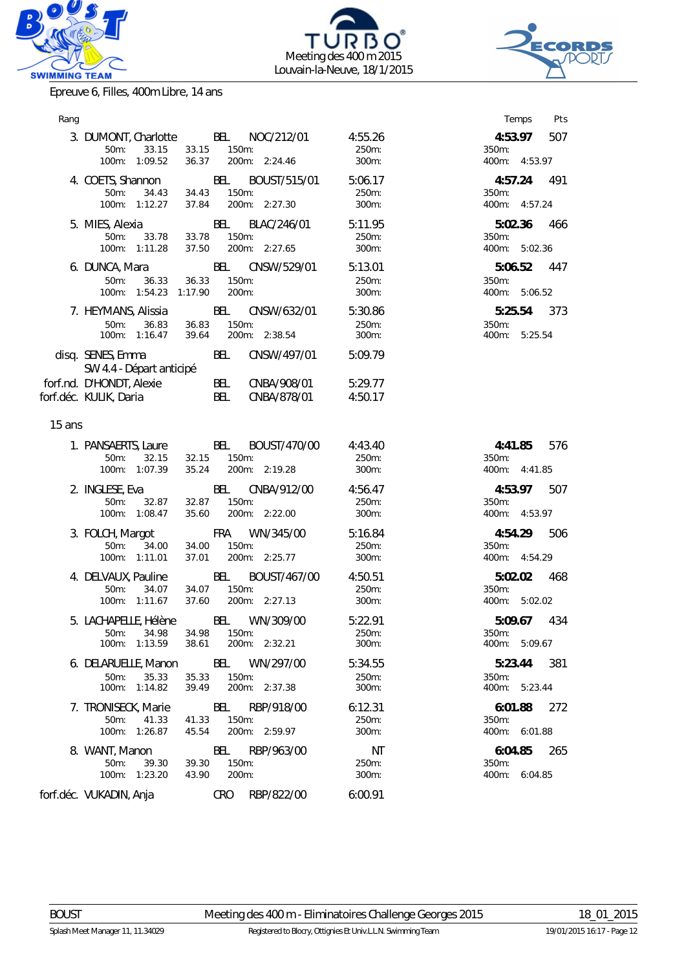





Epreuve 6, Filles, 400m Libre, 14 ans

| Rang   |                                                                                        |                             |                                            |                              | Temps<br>Pts                                |
|--------|----------------------------------------------------------------------------------------|-----------------------------|--------------------------------------------|------------------------------|---------------------------------------------|
|        | 3. DUMONT, Charlotte BEL NOC/212/01<br>33.15<br>$50m$ :<br>100m: 1:09.52               | 33.15<br>150m:<br>36.37     | 200m: 2:24.46                              | 4:55.26<br>250m:<br>300m:    | 4:53.97<br>507<br>350m:<br>400m: 4:53.97    |
|        | 4. COETS, Shannon<br>$50m$ :<br>34.43<br>100m: 1:12.27                                 | 34.43<br>37.84              | BEL BOUST/515/01<br>150m:<br>200m: 2:27.30 | 5:06.17<br>250m:<br>300m:    | 491<br>4:57.24<br>350m:<br>400m: 4:57.24    |
|        | 5. MIES, Alexia<br>33.78<br>$50m$ :<br>100m: 1:11.28                                   | BEL<br>33.78<br>37.50       | BLAC/246/01<br>150m:<br>200m: 2:27.65      | 5:11.95<br>250m:<br>300m:    | 5:02.36<br>466<br>350m:<br>400m: 5:02.36    |
|        | 6. DUNCA, Mara<br>$50m$ :<br>36.33<br>100m: 1:54.23 1:17.90                            | BEL<br>36.33<br>150m:       | CNSW/529/01<br>200m:                       | 5:13.01<br>250m:<br>300m:    | 5:06.52<br>447<br>350m:<br>400m: 5:06.52    |
|        | 7. HEYMANS, Alissia BEL<br>50m: 36.83 36.83 150m:<br>100m: 1:16.47 39.64 200m: 2:38.54 |                             | CNSW/632/01                                | 5:30.86<br>250m:<br>300m:    | 5:25.54<br>373<br>350m:<br>400m: 5:25.54    |
|        | disq. SENES, Emma<br>SW 4.4 - Départ anticipé                                          | BEL                         | CNSW/497/01                                | 5:09.79                      |                                             |
|        | forf.nd. D'HONDT, Alexie<br>forf.déc. KULIK, Daria                                     |                             | BEL CNBA/908/01<br>BEL CNBA/878/01         | 5:29.77<br>4:50.17           |                                             |
| 15 ans |                                                                                        |                             |                                            |                              |                                             |
|        | 1. PANSAERTS, Laure<br>32.15<br>$50m$ :<br>100m: 1:07.39                               | BEL<br>150m:<br>32.15       | BOUST/470/00<br>35.24 200m: 2:19.28        | 4:43.40<br>250m:<br>300m:    | 4:41.85<br>576<br>350m:<br>400m: 4:41.85    |
|        | 2. INGLESE, Eva<br>32.87<br>50m:<br>100m: 1:08.47                                      | BEL<br>32.87 150m:<br>35.60 | CNBA/912/00<br>200m: 2:22.00               | 4:56.47<br>250m:<br>300m:    | 4:53.97<br>507<br>350m:<br>400m: 4:53.97    |
|        | 3. FOLCH, Margot FRA WN/345/00<br>34.00<br>50m:<br>100m: 1:11.01                       | 34.00                       | 150m:<br>37.01 200m: 2:25.77               | 5:16.84<br>250m:<br>300m:    | 4:54.29<br>506<br>350m:<br>400m: 4:54.29    |
|        | 4. DELVAUX, Pauline<br>$50m$ :<br>34.07<br>100m: 1:11.67                               | BEL<br>34.07<br>37.60       | BOUST/467/00<br>150m:<br>200m: 2:27.13     | 4:50.51<br>250m:<br>300m:    | 5:02.02<br>468<br>350m:<br>400m: 5:02.02    |
|        | 5. LACHAPELLE, Hélène<br>50m: 34.98 34.98 150m:<br>100m: 1:13.59                       |                             | BEL WN/309/00<br>38.61 200m: 2:32.21       | 5:22.91<br>250m:<br>$300m$ : | 5:09.67<br>434<br>$350m$ :<br>400m: 5:09.67 |
|        | 6. DELARUELLE, Manon BEL WN/297/00<br>50m:<br>35.33<br>100m: 1:14.82                   | 35.33<br>39.49              | 150m:<br>200m: 2:37.38                     | 5:34.55<br>250m:<br>300m:    | 5:23.44<br>381<br>350m:<br>400m: 5:23.44    |
|        | 7. TRONISECK, Marie<br>$50m$ :<br>41.33<br>100m: 1:26.87                               | BEL<br>41.33<br>45.54       | RBP/918/00<br>150m:<br>200m: 2:59.97       | 6:12.31<br>250m:<br>300m:    | 6:01.88<br>272<br>350m:<br>400m: 6:01.88    |
|        | 8. WANT, Manon<br>$50m$ :<br>39.30<br>100m: 1:23.20                                    | BEL<br>39.30<br>43.90       | RBP/963/00<br>150m:<br>200m:               | <b>NT</b><br>250m:<br>300m:  | 265<br>6:04.85<br>350m:<br>400m: 6:04.85    |
|        | forf.déc. VUKADIN, Anja                                                                | CRO                         | RBP/822/00                                 | 6:00.91                      |                                             |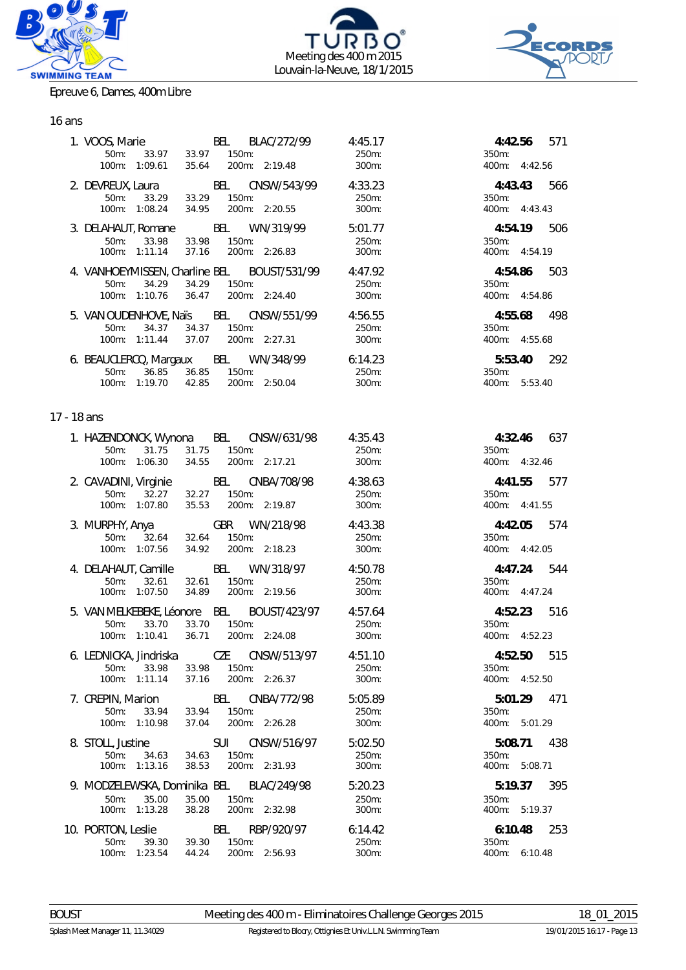





Epreuve 6, Dames, 400m Libre

# 16 ans

|             | 1. VOOS, Marie<br>100m: 1:09.61                                                                      | 0S, Marie 88 BEL BLAC/272/99<br>50m: 33.97 33.97 150m:<br>35.64 200m: 2:19.48 | 4:45.17<br>250m:<br>300m: | 4:42.56<br>571<br>350m:<br>400m: 4:42.56 |
|-------------|------------------------------------------------------------------------------------------------------|-------------------------------------------------------------------------------|---------------------------|------------------------------------------|
|             |                                                                                                      |                                                                               |                           |                                          |
|             |                                                                                                      | 2. DEVREUX, Laura BEL CNSW/543/99 4:33.23                                     |                           | 4:43.43 566                              |
|             | 50m:<br>33.29<br>100m: 1:08.24<br>34.95                                                              | 33.29 150m:<br>200m: 2:20.55                                                  | 250m:<br>300m:            | 350m:<br>400m: 4:43.43                   |
|             |                                                                                                      |                                                                               |                           |                                          |
|             |                                                                                                      | 3. DELAHAUT, Romane BEL WN/319/99                                             | 5:01.77                   | 4:54.19 506                              |
|             | 33.98<br>$50m$ :<br>33.98                                                                            | $150m$ :                                                                      | 250m:                     | 350m:                                    |
|             | 100m: 1:11.14<br>37.16                                                                               | 200m: 2:26.83                                                                 | 300m:                     | 400m: 4:54.19                            |
|             |                                                                                                      | 4. VANHOEYMISSEN, Charline BEL BOUST/531/99 4:47.92                           |                           | 4:54.86 503                              |
|             | 34.29<br>34.29<br>$50m$ :                                                                            | 150m:                                                                         | 250m:                     | 350m:                                    |
|             | 100m: 1:10.76<br>36.47                                                                               | 200m: 2:24.40                                                                 | 300m:                     | 400m: 4:54.86                            |
|             |                                                                                                      |                                                                               |                           |                                          |
|             |                                                                                                      | 5. VAN OUDENHOVE, Naïs BEL CNSW/551/99 4:56.55                                | 250m:                     | 4:55.68<br>498<br>350m:                  |
|             | 50m: 34.37 34.37 150m:<br>100m: 1:11.44 37.07 200m: 2:27.31                                          |                                                                               | 300m:                     | 400m: 4:55.68                            |
|             |                                                                                                      |                                                                               |                           |                                          |
|             |                                                                                                      | 6. BEAUCLERCQ, Margaux BEL WN/348/99 6:14.23                                  |                           | 5:53.40 292                              |
|             | 36.85 36.85<br>50m:                                                                                  | 150m:                                                                         | 250m:                     | 350m:                                    |
|             | 100m: 1:19.70 42.85                                                                                  | 200m: 2:50.04                                                                 | 300m:                     | 400m: 5:53.40                            |
|             |                                                                                                      |                                                                               |                           |                                          |
| 17 - 18 ans |                                                                                                      |                                                                               |                           |                                          |
|             | 1. HAZENDONCK, Wynona BEL CNSW/631/98                                                                |                                                                               | 4:35.43                   | 4:32.46 637                              |
|             | 31.75<br>50m:                                                                                        | 31.75 150m:                                                                   | 250m:                     | $350m$ :                                 |
|             | 100m: 1:06.30                                                                                        | 34.55 200m: 2:17.21                                                           | 300m:                     | 400m: 4:32.46                            |
|             |                                                                                                      |                                                                               |                           |                                          |
|             | 2. CAVADINI, Virginie BEL CNBA/708/98<br>50m: 32.27 32.27 150m:<br>100m: 1:07.80 35.53 200m: 2:19.87 |                                                                               | 4:38.63                   | 4:41.55 577                              |
|             |                                                                                                      | 32.27 150m:<br>35.53 200m: 2:19.87                                            | 250m:<br>300m:            | 350m:<br>400m: 4:41.55                   |
|             |                                                                                                      |                                                                               |                           |                                          |
|             | 3. MURPHY, Anya GBR WN/218/98                                                                        |                                                                               | 4:43.38                   | 4:42.05 574                              |
|             | 50m: 32.64 32.64                                                                                     | 150m:                                                                         | 250m:                     | 350m:                                    |
|             | 100m: 1:07.56                                                                                        | 34.92 200m: 2:18.23                                                           | 300m:                     | 400m: 4:42.05                            |
|             | 4. DELAHAUT, Camille BEL WN/318/97                                                                   |                                                                               | 4:50.78                   | 4:47.24 544                              |
|             | 32.61<br>32.61<br>50m:                                                                               | 150m:                                                                         | 250m:                     | 350m:                                    |
|             | 100m: 1:07.50<br>34.89                                                                               | 200m: 2:19.56                                                                 | 300m:                     | 400m: 4:47.24                            |
|             |                                                                                                      | 5. VAN MELKEBEKE, Léonore BEL BOUST/423/97 4:57.64                            |                           | 4:52.23 516                              |
|             | 33.70<br>33.70<br>$50m$ :                                                                            | 150m:                                                                         | 250m:                     | 350m:                                    |
|             | 36.71<br>100m: 1:10.41                                                                               | 200m: 2:24.08                                                                 | 300m:                     | 400m: 4:52.23                            |
|             |                                                                                                      |                                                                               |                           |                                          |
|             | 6. LEDNICKA, Jindriska                                                                               | CZE CNSW/513/97                                                               | 4:51.10                   | 4:52.50<br>515                           |
|             | 33.98<br>$50m$ :<br>33.98                                                                            | $150m$ :                                                                      | 250m:                     | $350m$ :                                 |
|             | 100m: 1:11.14<br>37.16                                                                               | 200m: 2:26.37                                                                 | 300m:                     | 400m: 4:52.50                            |
|             | 7. CREPIN, Marion                                                                                    | BEL CNBA/772/98                                                               | 5:05.89                   | 5:01.29 471                              |
|             | 33.94<br>$50m$ :<br>33.94                                                                            | 150m:                                                                         | 250m:                     | 350m:                                    |
|             | 100m: 1:10.98<br>37.04                                                                               | 200m: 2:26.28                                                                 | 300m:                     | 400m: 5:01.29                            |
|             | 8. STOLL, Justine                                                                                    | <b>SUI</b><br>CNSW/516/97                                                     | 5:02.50                   | 5:08.71 438                              |
|             | $50m$ :<br>34.63<br>34.63                                                                            | 150m:                                                                         | 250m:                     | 350m:                                    |
|             | 100m: 1:13.16<br>38.53                                                                               | 200m: 2:31.93                                                                 | 300m:                     | 400m: 5:08.71                            |
|             | 9. MODZELEWSKA, Dominika BEL BLAC/249/98                                                             |                                                                               | 5:20.23                   | 395<br>5:19.37                           |
|             | $50m$ :<br>35.00<br>35.00                                                                            | 150m:                                                                         | 250m:                     | 350m:                                    |
|             | 1:13.28<br>38.28<br>$100m$ :                                                                         | 200m: 2:32.98                                                                 | 300m:                     | 400m: 5:19.37                            |
|             | 10. PORTON, Leslie                                                                                   | BEL<br>RBP/920/97                                                             | 6:14.42                   | 6:10.48<br>253                           |
|             | $50m$ :<br>39.30<br>39.30                                                                            | 150m:                                                                         | 250m:                     | 350m:                                    |
|             | 100m: 1:23.54<br>44.24                                                                               | 200m: 2:56.93                                                                 | 300m:                     | 400m: 6:10.48                            |